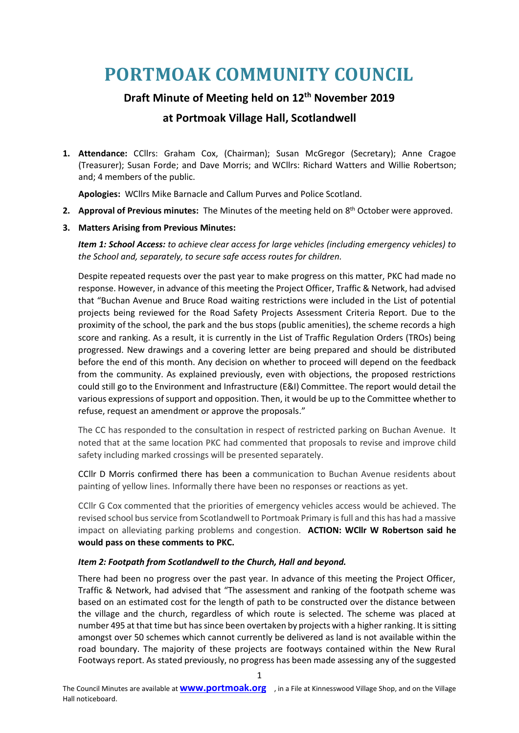# **PORTMOAK COMMUNITY COUNCIL**

# **Draft Minute of Meeting held on 12th November 2019**

# **at Portmoak Village Hall, Scotlandwell**

**1. Attendance:** CCllrs: Graham Cox, (Chairman); Susan McGregor (Secretary); Anne Cragoe (Treasurer); Susan Forde; and Dave Morris; and WCllrs: Richard Watters and Willie Robertson; and; 4 members of the public.

**Apologies:** WCllrs Mike Barnacle and Callum Purves and Police Scotland.

2. Approval of Previous minutes: The Minutes of the meeting held on 8<sup>th</sup> October were approved.

## **3. Matters Arising from Previous Minutes:**

*Item 1: School Access: to achieve clear access for large vehicles (including emergency vehicles) to the School and, separately, to secure safe access routes for children.* 

Despite repeated requests over the past year to make progress on this matter, PKC had made no response. However, in advance of this meeting the Project Officer, Traffic & Network, had advised that "Buchan Avenue and Bruce Road waiting restrictions were included in the List of potential projects being reviewed for the Road Safety Projects Assessment Criteria Report. Due to the proximity of the school, the park and the bus stops (public amenities), the scheme records a high score and ranking. As a result, it is currently in the List of Traffic Regulation Orders (TROs) being progressed. New drawings and a covering letter are being prepared and should be distributed before the end of this month. Any decision on whether to proceed will depend on the feedback from the community. As explained previously, even with objections, the proposed restrictions could still go to the Environment and Infrastructure (E&I) Committee. The report would detail the various expressions of support and opposition. Then, it would be up to the Committee whether to refuse, request an amendment or approve the proposals."

The CC has responded to the consultation in respect of restricted parking on Buchan Avenue. It noted that at the same location PKC had commented that proposals to revise and improve child safety including marked crossings will be presented separately.

CCllr D Morris confirmed there has been a communication to Buchan Avenue residents about painting of yellow lines. Informally there have been no responses or reactions as yet.

CCllr G Cox commented that the priorities of emergency vehicles access would be achieved. The revised school bus service from Scotlandwell to Portmoak Primary is full and this has had a massive impact on alleviating parking problems and congestion. **ACTION: WCllr W Robertson said he would pass on these comments to PKC.**

## *Item 2: Footpath from Scotlandwell to the Church, Hall and beyond.*

There had been no progress over the past year. In advance of this meeting the Project Officer, Traffic & Network, had advised that "The assessment and ranking of the footpath scheme was based on an estimated cost for the length of path to be constructed over the distance between the village and the church, regardless of which route is selected. The scheme was placed at number 495 at that time but has since been overtaken by projects with a higher ranking. It is sitting amongst over 50 schemes which cannot currently be delivered as land is not available within the road boundary. The majority of these projects are footways contained within the New Rural Footways report. As stated previously, no progress has been made assessing any of the suggested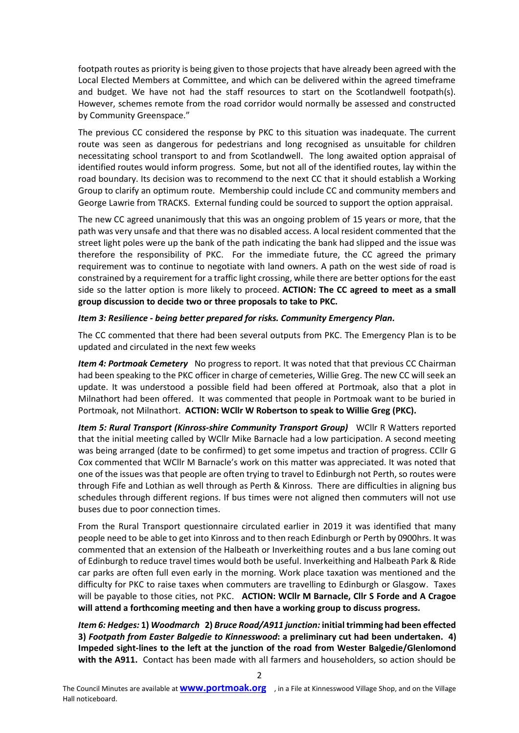footpath routes as priority is being given to those projects that have already been agreed with the Local Elected Members at Committee, and which can be delivered within the agreed timeframe and budget. We have not had the staff resources to start on the Scotlandwell footpath(s). However, schemes remote from the road corridor would normally be assessed and constructed by Community Greenspace."

The previous CC considered the response by PKC to this situation was inadequate. The current route was seen as dangerous for pedestrians and long recognised as unsuitable for children necessitating school transport to and from Scotlandwell. The long awaited option appraisal of identified routes would inform progress. Some, but not all of the identified routes, lay within the road boundary. Its decision was to recommend to the next CC that it should establish a Working Group to clarify an optimum route. Membership could include CC and community members and George Lawrie from TRACKS. External funding could be sourced to support the option appraisal.

The new CC agreed unanimously that this was an ongoing problem of 15 years or more, that the path was very unsafe and that there was no disabled access. A local resident commented that the street light poles were up the bank of the path indicating the bank had slipped and the issue was therefore the responsibility of PKC. For the immediate future, the CC agreed the primary requirement was to continue to negotiate with land owners. A path on the west side of road is constrained by a requirement for a traffic light crossing, while there are better options for the east side so the latter option is more likely to proceed. **ACTION: The CC agreed to meet as a small group discussion to decide two or three proposals to take to PKC.**

#### *Item 3: Resilience - being better prepared for risks. Community Emergency Plan.*

The CC commented that there had been several outputs from PKC. The Emergency Plan is to be updated and circulated in the next few weeks

*Item 4: Portmoak Cemetery* No progress to report. It was noted that that previous CC Chairman had been speaking to the PKC officer in charge of cemeteries, Willie Greg. The new CC will seek an update. It was understood a possible field had been offered at Portmoak, also that a plot in Milnathort had been offered. It was commented that people in Portmoak want to be buried in Portmoak, not Milnathort. **ACTION: WCllr W Robertson to speak to Willie Greg (PKC).**

*Item 5: Rural Transport (Kinross-shire Community Transport Group)* WCllr R Watters reported that the initial meeting called by WCllr Mike Barnacle had a low participation. A second meeting was being arranged (date to be confirmed) to get some impetus and traction of progress. CCllr G Cox commented that WCllr M Barnacle's work on this matter was appreciated. It was noted that one of the issues was that people are often trying to travel to Edinburgh not Perth, so routes were through Fife and Lothian as well through as Perth & Kinross. There are difficulties in aligning bus schedules through different regions. If bus times were not aligned then commuters will not use buses due to poor connection times.

From the Rural Transport questionnaire circulated earlier in 2019 it was identified that many people need to be able to get into Kinross and to then reach Edinburgh or Perth by 0900hrs. It was commented that an extension of the Halbeath or Inverkeithing routes and a bus lane coming out of Edinburgh to reduce travel times would both be useful. Inverkeithing and Halbeath Park & Ride car parks are often full even early in the morning. Work place taxation was mentioned and the difficulty for PKC to raise taxes when commuters are travelling to Edinburgh or Glasgow. Taxes will be payable to those cities, not PKC. **ACTION: WCllr M Barnacle, Cllr S Forde and A Cragoe will attend a forthcoming meeting and then have a working group to discuss progress***.*

*Item 6: Hedges:* **1)** *Woodmarch* **2)** *Bruce Road/A911 junction:* **initial trimming had been effected 3)** *Footpath from Easter Balgedie to Kinnesswood***: a preliminary cut had been undertaken. 4) Impeded sight-lines to the left at the junction of the road from Wester Balgedie/Glenlomond with the A911.** Contact has been made with all farmers and householders, so action should be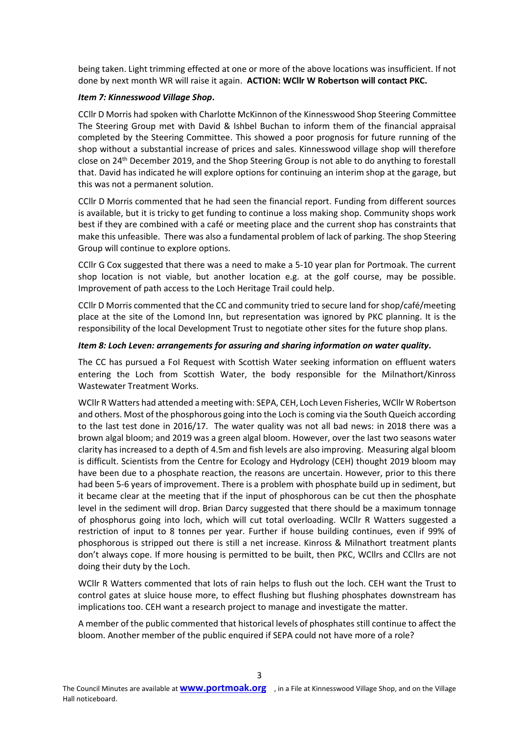being taken. Light trimming effected at one or more of the above locations was insufficient. If not done by next month WR will raise it again. **ACTION: WCllr W Robertson will contact PKC.** 

#### *Item 7: Kinnesswood Village Shop***.**

CCllr D Morris had spoken with Charlotte McKinnon of the Kinnesswood Shop Steering Committee The Steering Group met with David & Ishbel Buchan to inform them of the financial appraisal completed by the Steering Committee. This showed a poor prognosis for future running of the shop without a substantial increase of prices and sales. Kinnesswood village shop will therefore close on 24th December 2019, and the Shop Steering Group is not able to do anything to forestall that. David has indicated he will explore options for continuing an interim shop at the garage, but this was not a permanent solution.

CCllr D Morris commented that he had seen the financial report. Funding from different sources is available, but it is tricky to get funding to continue a loss making shop. Community shops work best if they are combined with a café or meeting place and the current shop has constraints that make this unfeasible. There was also a fundamental problem of lack of parking. The shop Steering Group will continue to explore options.

CCllr G Cox suggested that there was a need to make a 5-10 year plan for Portmoak. The current shop location is not viable, but another location e.g. at the golf course, may be possible. Improvement of path access to the Loch Heritage Trail could help.

CCllr D Morris commented that the CC and community tried to secure land for shop/café/meeting place at the site of the Lomond Inn, but representation was ignored by PKC planning. It is the responsibility of the local Development Trust to negotiate other sites for the future shop plans.

#### *Item 8: Loch Leven: arrangements for assuring and sharing information on water quality.*

The CC has pursued a FoI Request with Scottish Water seeking information on effluent waters entering the Loch from Scottish Water, the body responsible for the Milnathort/Kinross Wastewater Treatment Works.

WCllr R Watters had attended a meeting with: SEPA, CEH, Loch Leven Fisheries, WCllr W Robertson and others. Most of the phosphorous going into the Loch is coming via the South Queich according to the last test done in 2016/17. The water quality was not all bad news: in 2018 there was a brown algal bloom; and 2019 was a green algal bloom. However, over the last two seasons water clarity has increased to a depth of 4.5m and fish levels are also improving. Measuring algal bloom is difficult. Scientists from the Centre for Ecology and Hydrology (CEH) thought 2019 bloom may have been due to a phosphate reaction, the reasons are uncertain. However, prior to this there had been 5-6 years of improvement. There is a problem with phosphate build up in sediment, but it became clear at the meeting that if the input of phosphorous can be cut then the phosphate level in the sediment will drop. Brian Darcy suggested that there should be a maximum tonnage of phosphorus going into loch, which will cut total overloading. WCllr R Watters suggested a restriction of input to 8 tonnes per year. Further if house building continues, even if 99% of phosphorous is stripped out there is still a net increase. Kinross & Milnathort treatment plants don't always cope. If more housing is permitted to be built, then PKC, WCllrs and CCllrs are not doing their duty by the Loch.

WCllr R Watters commented that lots of rain helps to flush out the loch. CEH want the Trust to control gates at sluice house more, to effect flushing but flushing phosphates downstream has implications too. CEH want a research project to manage and investigate the matter.

A member of the public commented that historical levels of phosphates still continue to affect the bloom. Another member of the public enquired if SEPA could not have more of a role?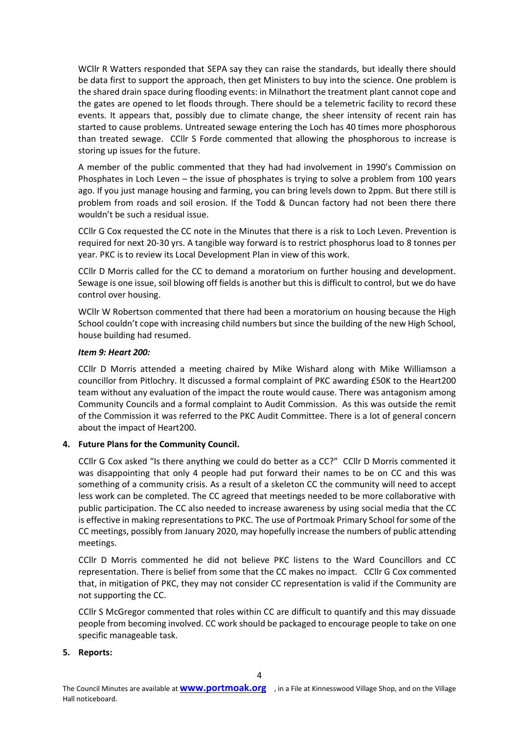WCllr R Watters responded that SEPA say they can raise the standards, but ideally there should be data first to support the approach, then get Ministers to buy into the science. One problem is the shared drain space during flooding events: in Milnathort the treatment plant cannot cope and the gates are opened to let floods through. There should be a telemetric facility to record these events. It appears that, possibly due to climate change, the sheer intensity of recent rain has started to cause problems. Untreated sewage entering the Loch has 40 times more phosphorous than treated sewage. CCllr S Forde commented that allowing the phosphorous to increase is storing up issues for the future.

A member of the public commented that they had had involvement in 1990's Commission on Phosphates in Loch Leven – the issue of phosphates is trying to solve a problem from 100 years ago. If you just manage housing and farming, you can bring levels down to 2ppm. But there still is problem from roads and soil erosion. If the Todd & Duncan factory had not been there there wouldn't be such a residual issue.

CCllr G Cox requested the CC note in the Minutes that there is a risk to Loch Leven. Prevention is required for next 20-30 yrs. A tangible way forward is to restrict phosphorus load to 8 tonnes per year. PKC is to review its Local Development Plan in view of this work.

CCllr D Morris called for the CC to demand a moratorium on further housing and development. Sewage is one issue, soil blowing off fields is another but this is difficult to control, but we do have control over housing.

WCllr W Robertson commented that there had been a moratorium on housing because the High School couldn't cope with increasing child numbers but since the building of the new High School, house building had resumed.

#### *Item 9: Heart 200:*

CCllr D Morris attended a meeting chaired by Mike Wishard along with Mike Williamson a councillor from Pitlochry. It discussed a formal complaint of PKC awarding £50K to the Heart200 team without any evaluation of the impact the route would cause. There was antagonism among Community Councils and a formal complaint to Audit Commission. As this was outside the remit of the Commission it was referred to the PKC Audit Committee. There is a lot of general concern about the impact of Heart200.

## **4. Future Plans for the Community Council.**

CCllr G Cox asked "Is there anything we could do better as a CC?" CCllr D Morris commented it was disappointing that only 4 people had put forward their names to be on CC and this was something of a community crisis. As a result of a skeleton CC the community will need to accept less work can be completed. The CC agreed that meetings needed to be more collaborative with public participation. The CC also needed to increase awareness by using social media that the CC is effective in making representations to PKC. The use of Portmoak Primary School for some of the CC meetings, possibly from January 2020, may hopefully increase the numbers of public attending meetings.

CCllr D Morris commented he did not believe PKC listens to the Ward Councillors and CC representation. There is belief from some that the CC makes no impact. CCllr G Cox commented that, in mitigation of PKC, they may not consider CC representation is valid if the Community are not supporting the CC.

CCllr S McGregor commented that roles within CC are difficult to quantify and this may dissuade people from becoming involved. CC work should be packaged to encourage people to take on one specific manageable task.

#### **5. Reports:**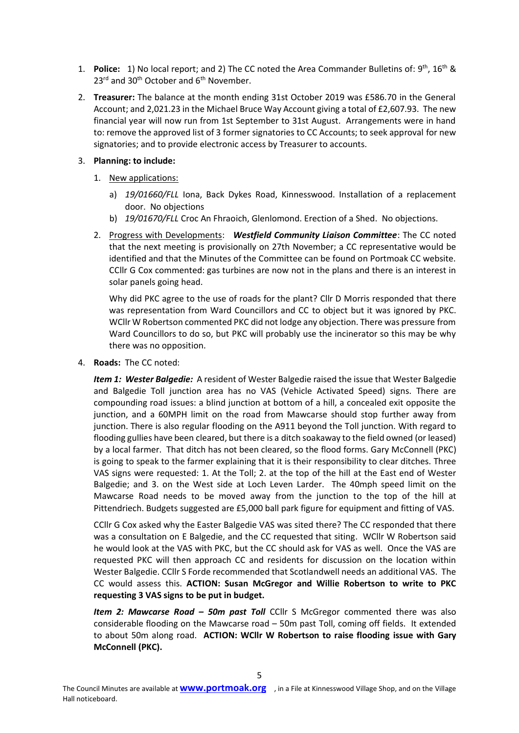- 1. **Police:** 1) No local report; and 2) The CC noted the Area Commander Bulletins of: 9<sup>th</sup>, 16<sup>th</sup> & 23<sup>rd</sup> and 30<sup>th</sup> October and 6<sup>th</sup> November.
- 2. **Treasurer:** The balance at the month ending 31st October 2019 was £586.70 in the General Account; and 2,021.23 in the Michael Bruce Way Account giving a total of £2,607.93. The new financial year will now run from 1st September to 31st August. Arrangements were in hand to: remove the approved list of 3 former signatories to CC Accounts; to seek approval for new signatories; and to provide electronic access by Treasurer to accounts.
- 3. **Planning: to include:**
	- 1. New applications:
		- a) *19/01660/FLL* Iona, Back Dykes Road, Kinnesswood. Installation of a replacement door. No objections
		- b) *19/01670/FLL* Croc An Fhraoich, Glenlomond. Erection of a Shed. No objections.
	- 2. Progress with Developments: *Westfield Community Liaison Committee*: The CC noted that the next meeting is provisionally on 27th November; a CC representative would be identified and that the Minutes of the Committee can be found on Portmoak CC website. CCllr G Cox commented: gas turbines are now not in the plans and there is an interest in solar panels going head.

Why did PKC agree to the use of roads for the plant? Cllr D Morris responded that there was representation from Ward Councillors and CC to object but it was ignored by PKC. WCllr W Robertson commented PKC did not lodge any objection. There was pressure from Ward Councillors to do so, but PKC will probably use the incinerator so this may be why there was no opposition.

4. **Roads:** The CC noted:

*Item 1: Wester Balgedie:* A resident of Wester Balgedie raised the issue that Wester Balgedie and Balgedie Toll junction area has no VAS (Vehicle Activated Speed) signs. There are compounding road issues: a blind junction at bottom of a hill, a concealed exit opposite the junction, and a 60MPH limit on the road from Mawcarse should stop further away from junction. There is also regular flooding on the A911 beyond the Toll junction. With regard to flooding gullies have been cleared, but there is a ditch soakaway to the field owned (or leased) by a local farmer. That ditch has not been cleared, so the flood forms. Gary McConnell (PKC) is going to speak to the farmer explaining that it is their responsibility to clear ditches. Three VAS signs were requested: 1. At the Toll; 2. at the top of the hill at the East end of Wester Balgedie; and 3. on the West side at Loch Leven Larder. The 40mph speed limit on the Mawcarse Road needs to be moved away from the junction to the top of the hill at Pittendriech. Budgets suggested are £5,000 ball park figure for equipment and fitting of VAS.

CCllr G Cox asked why the Easter Balgedie VAS was sited there? The CC responded that there was a consultation on E Balgedie, and the CC requested that siting. WCllr W Robertson said he would look at the VAS with PKC, but the CC should ask for VAS as well. Once the VAS are requested PKC will then approach CC and residents for discussion on the location within Wester Balgedie. CCllr S Forde recommended that Scotlandwell needs an additional VAS. The CC would assess this. **ACTION: Susan McGregor and Willie Robertson to write to PKC requesting 3 VAS signs to be put in budget.**

**Item 2: Mawcarse Road – 50m past Toll** CCllr S McGregor commented there was also considerable flooding on the Mawcarse road – 50m past Toll, coming off fields. It extended to about 50m along road. **ACTION: WCllr W Robertson to raise flooding issue with Gary McConnell (PKC).**